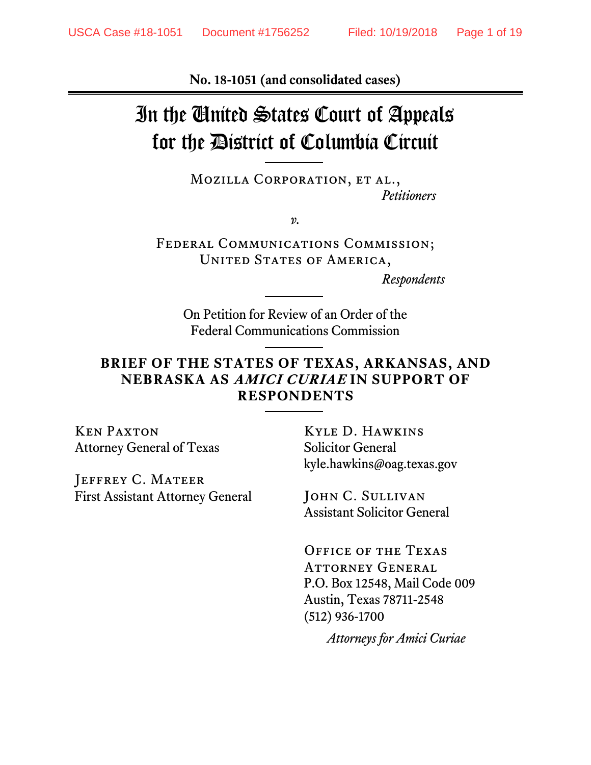**No. 18-1051 (and consolidated cases)**

# In the United States Court of Appeals for the District of Columbia Circuit

MOZILLA CORPORATION, ET AL., *Petitioners*

*v.*

Federal Communications Commission; UNITED STATES OF AMERICA,

*Respondents*

On Petition for Review of an Order of the Federal Communications Commission

#### **BRIEF OF THE STATES OF TEXAS, ARKANSAS, AND NEBRASKA AS AMICI CURIAE IN SUPPORT OF RESPONDENTS**

Ken Paxton Attorney General of Texas

JEFFREY C. MATEER First Assistant Attorney General

Kyle D. Hawkins Solicitor General kyle.hawkins@oag.texas.gov

JOHN C. SULLIVAN Assistant Solicitor General

Office of the Texas Attorney General P.O. Box 12548, Mail Code 009 Austin, Texas 78711-2548 (512) 936-1700

*Attorneys for Amici Curiae*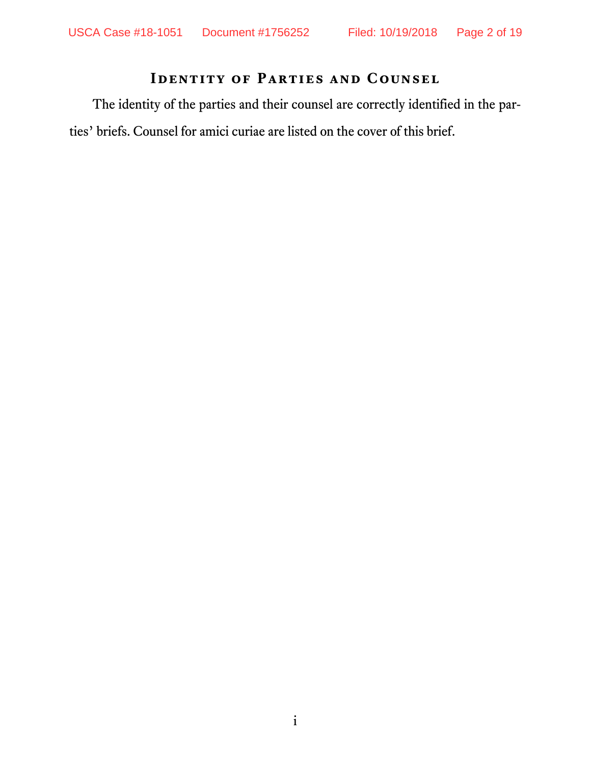## **Identity of Parties and Counsel**

The identity of the parties and their counsel are correctly identified in the parties' briefs. Counsel for amici curiae are listed on the cover of this brief.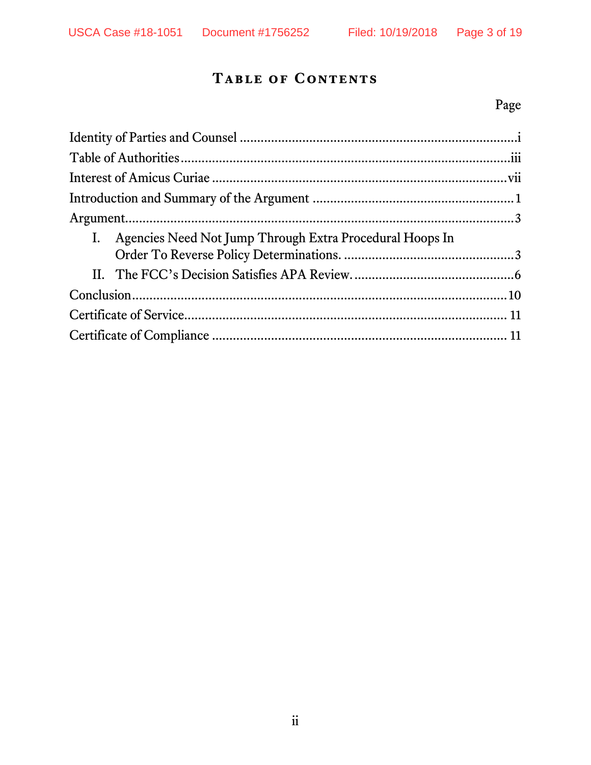## **Table of Contents**

## Page

| I. Agencies Need Not Jump Through Extra Procedural Hoops In |  |
|-------------------------------------------------------------|--|
|                                                             |  |
|                                                             |  |
|                                                             |  |
|                                                             |  |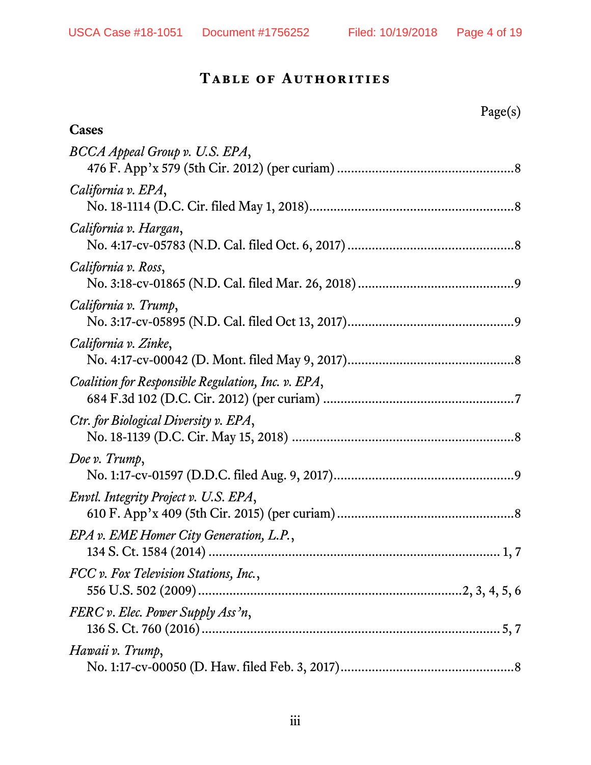### **Table of Authorities**

## Page(s)

| Cases                                              |
|----------------------------------------------------|
| BCCA Appeal Group v. U.S. EPA,                     |
| California v. EPA,                                 |
| California v. Hargan,                              |
| California v. Ross,                                |
| California v. Trump,                               |
| California v. Zinke,                               |
| Coalition for Responsible Regulation, Inc. v. EPA, |
| Ctr. for Biological Diversity v. EPA,              |
| Doe v. Trump,                                      |
| Envtl. Integrity Project v. U.S. EPA,              |
| EPA v. EME Homer City Generation, L.P.,<br>1, 7    |
| FCC v. Fox Television Stations, Inc.,              |
| FERC v. Elec. Power Supply Ass'n,                  |
| Hawaii v. Trump,                                   |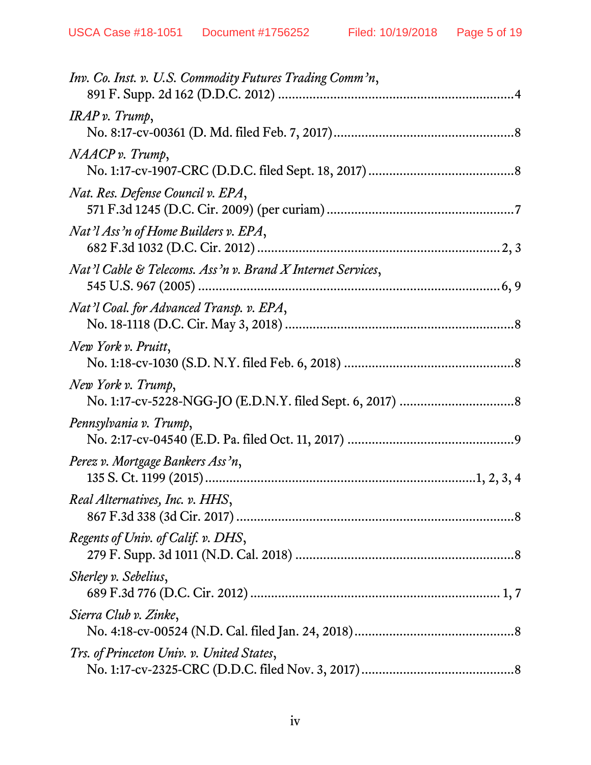| Inv. Co. Inst. v. U.S. Commodity Futures Trading Comm'n,    |
|-------------------------------------------------------------|
| IRAP v. Trump,                                              |
| NAACP v. Trump,                                             |
| Nat. Res. Defense Council v. EPA,                           |
| Nat'l Ass'n of Home Builders v. EPA,                        |
| Nat'l Cable & Telecoms. Ass'n v. Brand X Internet Services, |
| Nat'l Coal. for Advanced Transp. v. EPA,                    |
| New York v. Pruitt,                                         |
| New York v. Trump,                                          |
| Pennsylvania v. Trump,                                      |
| Perez v. Mortgage Bankers Ass'n,                            |
| Real Alternatives, Inc. v. HHS,                             |
| Regents of Univ. of Calif. v. DHS,                          |
| Sherley v. Sebelius,                                        |
| Sierra Club v. Zinke,                                       |
| Trs. of Princeton Univ. v. United States,                   |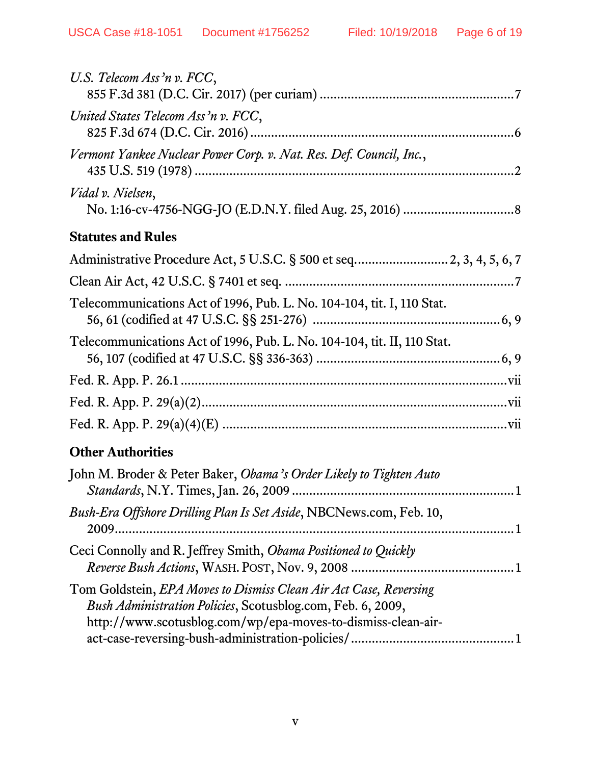| U.S. Telecom Ass'n v. FCC,                                                                                                                                                                       |
|--------------------------------------------------------------------------------------------------------------------------------------------------------------------------------------------------|
| United States Telecom Ass'n v. FCC,                                                                                                                                                              |
| Vermont Yankee Nuclear Power Corp. v. Nat. Res. Def. Council, Inc.,                                                                                                                              |
| Vidal v. Nielsen,                                                                                                                                                                                |
| <b>Statutes and Rules</b>                                                                                                                                                                        |
| Administrative Procedure Act, 5 U.S.C. § 500 et seq 2, 3, 4, 5, 6, 7                                                                                                                             |
|                                                                                                                                                                                                  |
| Telecommunications Act of 1996, Pub. L. No. 104-104, tit. I, 110 Stat.                                                                                                                           |
| Telecommunications Act of 1996, Pub. L. No. 104-104, tit. II, 110 Stat.                                                                                                                          |
|                                                                                                                                                                                                  |
|                                                                                                                                                                                                  |
|                                                                                                                                                                                                  |
| <b>Other Authorities</b>                                                                                                                                                                         |
| John M. Broder & Peter Baker, Obama's Order Likely to Tighten Auto                                                                                                                               |
| Bush-Era Offshore Drilling Plan Is Set Aside, NBCNews.com, Feb. 10,                                                                                                                              |
| Ceci Connolly and R. Jeffrey Smith, Obama Positioned to Quickly                                                                                                                                  |
| Tom Goldstein, EPA Moves to Dismiss Clean Air Act Case, Reversing<br>Bush Administration Policies, Scotusblog.com, Feb. 6, 2009,<br>http://www.scotusblog.com/wp/epa-moves-to-dismiss-clean-air- |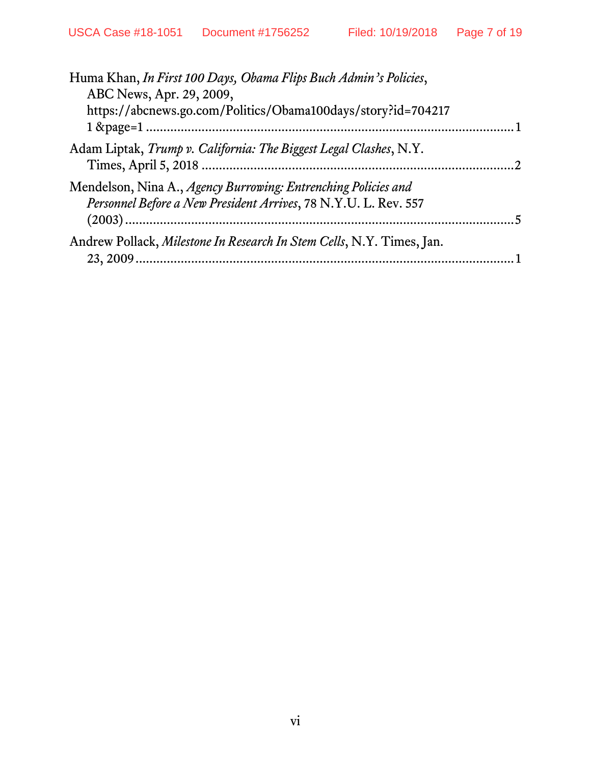| Huma Khan, In First 100 Days, Obama Flips Buch Admin's Policies,<br>ABC News, Apr. 29, 2009,                                      |  |
|-----------------------------------------------------------------------------------------------------------------------------------|--|
| https://abcnews.go.com/Politics/Obama100days/story?id=704217                                                                      |  |
| Adam Liptak, Trump v. California: The Biggest Legal Clashes, N.Y.                                                                 |  |
| Mendelson, Nina A., Agency Burrowing: Entrenching Policies and<br>Personnel Before a New President Arrives, 78 N.Y.U. L. Rev. 557 |  |
| Andrew Pollack, Milestone In Research In Stem Cells, N.Y. Times, Jan.                                                             |  |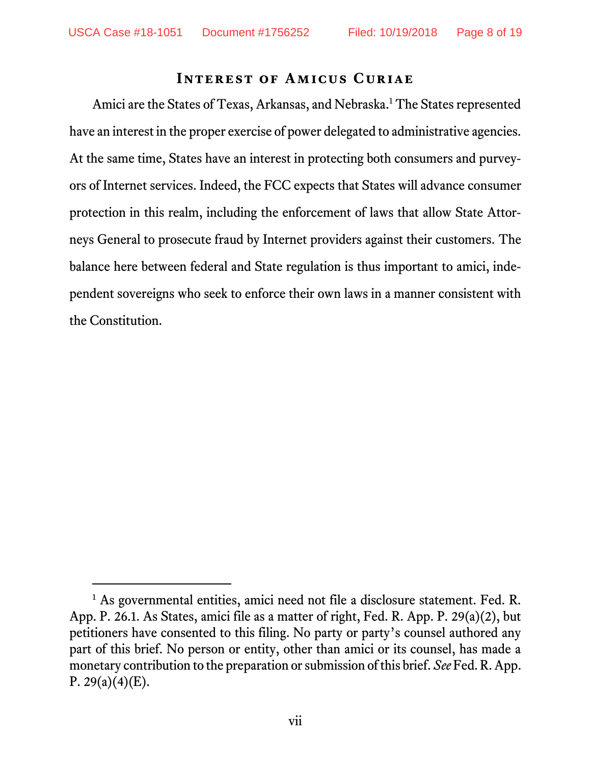#### **Interest of Amicus Curiae**

Amici are the States of Texas, Arkansas, and Nebraska.<sup>1</sup> The States represented have an interest in the proper exercise of power delegated to administrative agencies. At the same time, States have an interest in protecting both consumers and purveyors of Internet services. Indeed, the FCC expects that States will advance consumer protection in this realm, including the enforcement of laws that allow State Attorneys General to prosecute fraud by Internet providers against their customers. The balance here between federal and State regulation is thus important to amici, independent sovereigns who seek to enforce their own laws in a manner consistent with the Constitution.

<sup>&</sup>lt;sup>1</sup> As governmental entities, amici need not file a disclosure statement. Fed. R. App. P. 26.1. As States, amici file as a matter of right, Fed. R. App. P. 29(a)(2), but petitioners have consented to this filing. No party or party's counsel authored any part of this brief. No person or entity, other than amici or its counsel, has made a monetary contribution to the preparation or submission of this brief. *See* Fed. R. App. P. 29(a)(4)(E).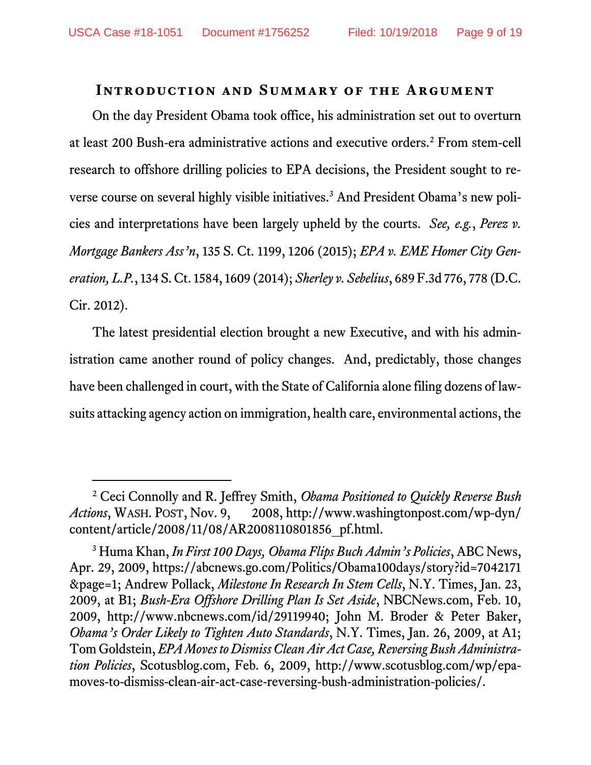#### **Introduction and Summary of the Argument**

On the day President Obama took office, his administration set out to overturn at least 200 Bush-era administrative actions and executive orders.2 From stem-cell research to offshore drilling policies to EPA decisions, the President sought to reverse course on several highly visible initiatives.3 And President Obama's new policies and interpretations have been largely upheld by the courts. *See, e.g.*, *Perez v. Mortgage Bankers Ass'n*, 135 S. Ct. 1199, 1206 (2015); *EPA v. EME Homer City Generation, L.P.*, 134 S. Ct. 1584, 1609 (2014); *Sherley v. Sebelius*, 689 F.3d 776, 778 (D.C. Cir. 2012).

The latest presidential election brought a new Executive, and with his administration came another round of policy changes. And, predictably, those changes have been challenged in court, with the State of California alone filing dozens of lawsuits attacking agency action on immigration, health care, environmental actions, the

 <sup>2</sup> Ceci Connolly and R. Jeffrey Smith, *Obama Positioned to Quickly Reverse Bush Actions*, WASH. POST, Nov. 9, 2008, http://www.washingtonpost.com/wp-dyn/ content/article/2008/11/08/AR2008110801856\_pf.html.

<sup>3</sup> Huma Khan, *In First 100 Days, Obama Flips Buch Admin's Policies*, ABC News, Apr. 29, 2009, https://abcnews.go.com/Politics/Obama100days/story?id=7042171 &page=1; Andrew Pollack, *Milestone In Research In Stem Cells*, N.Y. Times, Jan. 23, 2009, at B1; *Bush-Era Offshore Drilling Plan Is Set Aside*, NBCNews.com, Feb. 10, 2009, http://www.nbcnews.com/id/29119940; John M. Broder & Peter Baker, *Obama's Order Likely to Tighten Auto Standards*, N.Y. Times, Jan. 26, 2009, at A1; Tom Goldstein, *EPA Moves to Dismiss Clean Air Act Case, Reversing Bush Administration Policies*, Scotusblog.com, Feb. 6, 2009, http://www.scotusblog.com/wp/epamoves-to-dismiss-clean-air-act-case-reversing-bush-administration-policies/.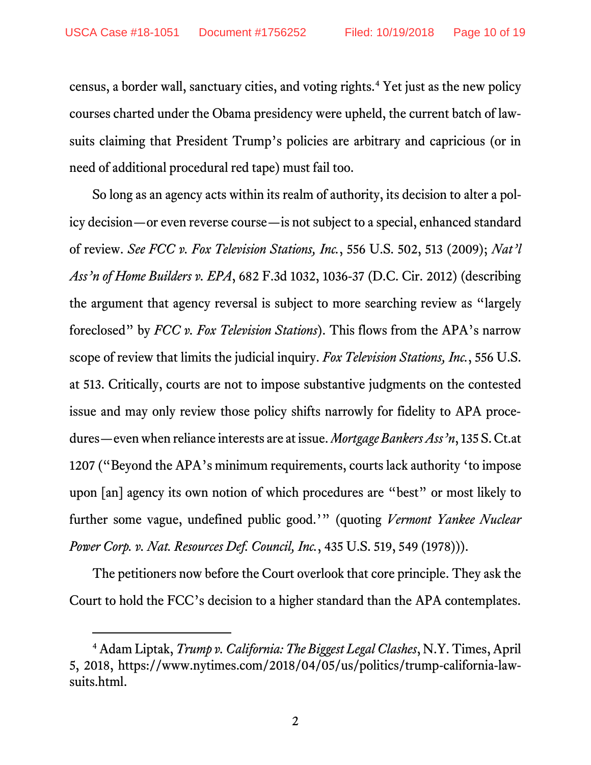census, a border wall, sanctuary cities, and voting rights.4 Yet just as the new policy courses charted under the Obama presidency were upheld, the current batch of lawsuits claiming that President Trump's policies are arbitrary and capricious (or in need of additional procedural red tape) must fail too.

So long as an agency acts within its realm of authority, its decision to alter a policy decision—or even reverse course—is not subject to a special, enhanced standard of review. *See FCC v. Fox Television Stations, Inc.*, 556 U.S. 502, 513 (2009); *Nat'l Ass'n of Home Builders v. EPA*, 682 F.3d 1032, 1036-37 (D.C. Cir. 2012) (describing the argument that agency reversal is subject to more searching review as "largely foreclosed" by *FCC v. Fox Television Stations*). This flows from the APA's narrow scope of review that limits the judicial inquiry. *Fox Television Stations, Inc.*, 556 U.S. at 513. Critically, courts are not to impose substantive judgments on the contested issue and may only review those policy shifts narrowly for fidelity to APA procedures—even when reliance interests are at issue. *Mortgage Bankers Ass'n*, 135 S. Ct.at 1207 ("Beyond the APA's minimum requirements, courts lack authority 'to impose upon [an] agency its own notion of which procedures are "best" or most likely to further some vague, undefined public good.'" (quoting *Vermont Yankee Nuclear Power Corp. v. Nat. Resources Def. Council, Inc.*, 435 U.S. 519, 549 (1978))).

The petitioners now before the Court overlook that core principle. They ask the Court to hold the FCC's decision to a higher standard than the APA contemplates.

 <sup>4</sup> Adam Liptak, *Trump v. California: The Biggest Legal Clashes*, N.Y. Times, April 5, 2018, https://www.nytimes.com/2018/04/05/us/politics/trump-california-lawsuits.html.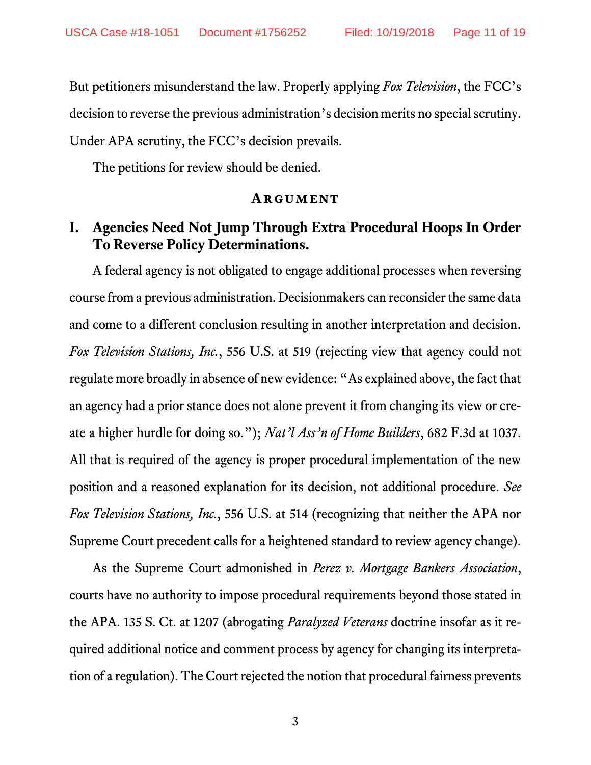But petitioners misunderstand the law. Properly applying *Fox Television*, the FCC's decision to reverse the previous administration's decision merits no special scrutiny. Under APA scrutiny, the FCC's decision prevails.

The petitions for review should be denied.

#### **ARGUMENT**

### **I. Agencies Need Not Jump Through Extra Procedural Hoops In Order To Reverse Policy Determinations.**

A federal agency is not obligated to engage additional processes when reversing course from a previous administration. Decisionmakers can reconsider the same data and come to a different conclusion resulting in another interpretation and decision. *Fox Television Stations, Inc.*, 556 U.S. at 519 (rejecting view that agency could not regulate more broadly in absence of new evidence: "As explained above, the fact that an agency had a prior stance does not alone prevent it from changing its view or create a higher hurdle for doing so."); *Nat'l Ass'n of Home Builders*, 682 F.3d at 1037. All that is required of the agency is proper procedural implementation of the new position and a reasoned explanation for its decision, not additional procedure. *See Fox Television Stations, Inc.*, 556 U.S. at 514 (recognizing that neither the APA nor Supreme Court precedent calls for a heightened standard to review agency change).

As the Supreme Court admonished in *Perez v. Mortgage Bankers Association*, courts have no authority to impose procedural requirements beyond those stated in the APA. 135 S. Ct. at 1207 (abrogating *Paralyzed Veterans* doctrine insofar as it required additional notice and comment process by agency for changing its interpretation of a regulation). The Court rejected the notion that procedural fairness prevents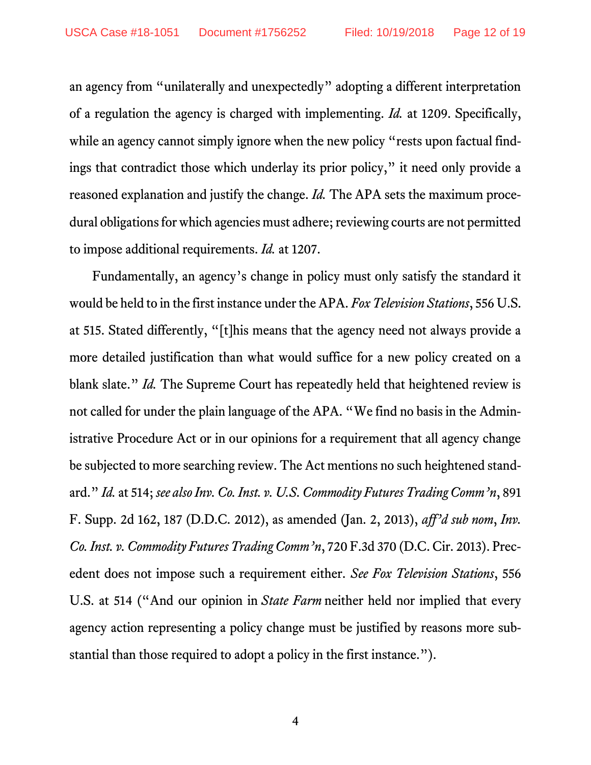an agency from "unilaterally and unexpectedly" adopting a different interpretation of a regulation the agency is charged with implementing. *Id.* at 1209. Specifically, while an agency cannot simply ignore when the new policy "rests upon factual findings that contradict those which underlay its prior policy," it need only provide a reasoned explanation and justify the change. *Id.* The APA sets the maximum procedural obligations for which agencies must adhere; reviewing courts are not permitted to impose additional requirements. *Id.* at 1207.

Fundamentally, an agency's change in policy must only satisfy the standard it would be held to in the first instance under the APA. *Fox Television Stations*, 556 U.S. at 515. Stated differently, "[t]his means that the agency need not always provide a more detailed justification than what would suffice for a new policy created on a blank slate." *Id.* The Supreme Court has repeatedly held that heightened review is not called for under the plain language of the APA. "We find no basis in the Administrative Procedure Act or in our opinions for a requirement that all agency change be subjected to more searching review. The Act mentions no such heightened standard." *Id.* at 514; *see also Inv. Co. Inst. v. U.S. Commodity Futures Trading Comm'n*, 891 F. Supp. 2d 162, 187 (D.D.C. 2012), as amended (Jan. 2, 2013), *aff'd sub nom*, *Inv. Co. Inst. v. Commodity Futures Trading Comm'n*, 720 F.3d 370 (D.C. Cir. 2013). Precedent does not impose such a requirement either. *See Fox Television Stations*, 556 U.S. at 514 ("And our opinion in *State Farm* neither held nor implied that every agency action representing a policy change must be justified by reasons more substantial than those required to adopt a policy in the first instance.").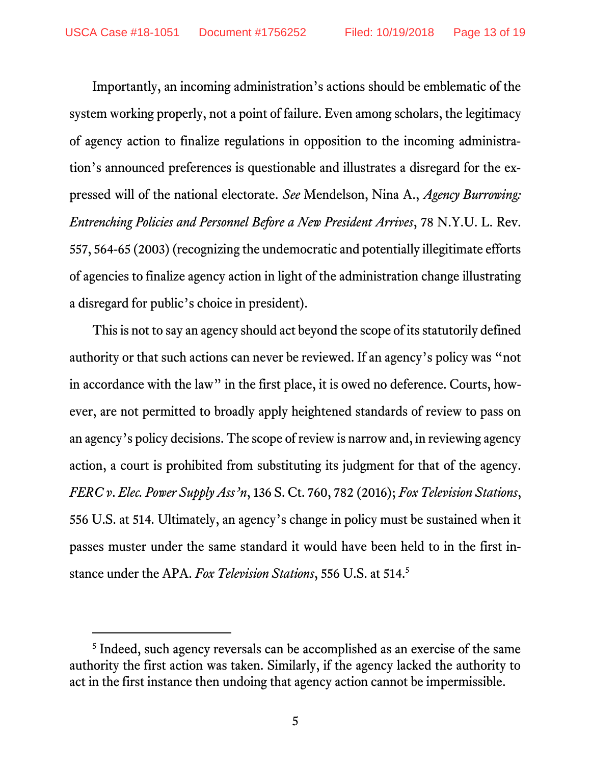Importantly, an incoming administration's actions should be emblematic of the system working properly, not a point of failure. Even among scholars, the legitimacy of agency action to finalize regulations in opposition to the incoming administration's announced preferences is questionable and illustrates a disregard for the expressed will of the national electorate. *See* Mendelson, Nina A., *Agency Burrowing: Entrenching Policies and Personnel Before a New President Arrives*, 78 N.Y.U. L. Rev. 557, 564-65 (2003) (recognizing the undemocratic and potentially illegitimate efforts of agencies to finalize agency action in light of the administration change illustrating a disregard for public's choice in president).

This is not to say an agency should act beyond the scope of its statutorily defined authority or that such actions can never be reviewed. If an agency's policy was "not in accordance with the law" in the first place, it is owed no deference. Courts, however, are not permitted to broadly apply heightened standards of review to pass on an agency's policy decisions. The scope of review is narrow and, in reviewing agency action, a court is prohibited from substituting its judgment for that of the agency. *FERC v*. *Elec. Power Supply Ass'n*, 136 S. Ct. 760, 782 (2016); *Fox Television Stations*, 556 U.S. at 514. Ultimately, an agency's change in policy must be sustained when it passes muster under the same standard it would have been held to in the first instance under the APA. *Fox Television Stations*, 556 U.S. at 514. 5

<sup>&</sup>lt;sup>5</sup> Indeed, such agency reversals can be accomplished as an exercise of the same authority the first action was taken. Similarly, if the agency lacked the authority to act in the first instance then undoing that agency action cannot be impermissible.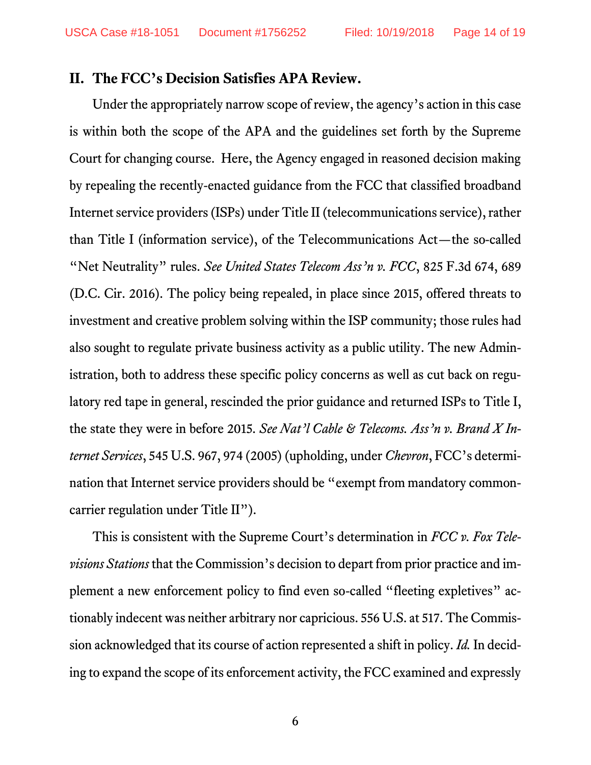#### **II. The FCC's Decision Satisfies APA Review.**

Under the appropriately narrow scope of review, the agency's action in this case is within both the scope of the APA and the guidelines set forth by the Supreme Court for changing course. Here, the Agency engaged in reasoned decision making by repealing the recently-enacted guidance from the FCC that classified broadband Internet service providers (ISPs) under Title II (telecommunications service), rather than Title I (information service), of the Telecommunications Act—the so-called "Net Neutrality" rules. *See United States Telecom Ass'n v. FCC*, 825 F.3d 674, 689 (D.C. Cir. 2016). The policy being repealed, in place since 2015, offered threats to investment and creative problem solving within the ISP community; those rules had also sought to regulate private business activity as a public utility. The new Administration, both to address these specific policy concerns as well as cut back on regulatory red tape in general, rescinded the prior guidance and returned ISPs to Title I, the state they were in before 2015. *See Nat'l Cable & Telecoms. Ass'n v. Brand X Internet Services*, 545 U.S. 967, 974 (2005) (upholding, under *Chevron*, FCC's determination that Internet service providers should be "exempt from mandatory commoncarrier regulation under Title II").

This is consistent with the Supreme Court's determination in *FCC v. Fox Televisions Stations* that the Commission's decision to depart from prior practice and implement a new enforcement policy to find even so-called "fleeting expletives" actionably indecent was neither arbitrary nor capricious. 556 U.S. at 517. The Commission acknowledged that its course of action represented a shift in policy. *Id.* In deciding to expand the scope of its enforcement activity, the FCC examined and expressly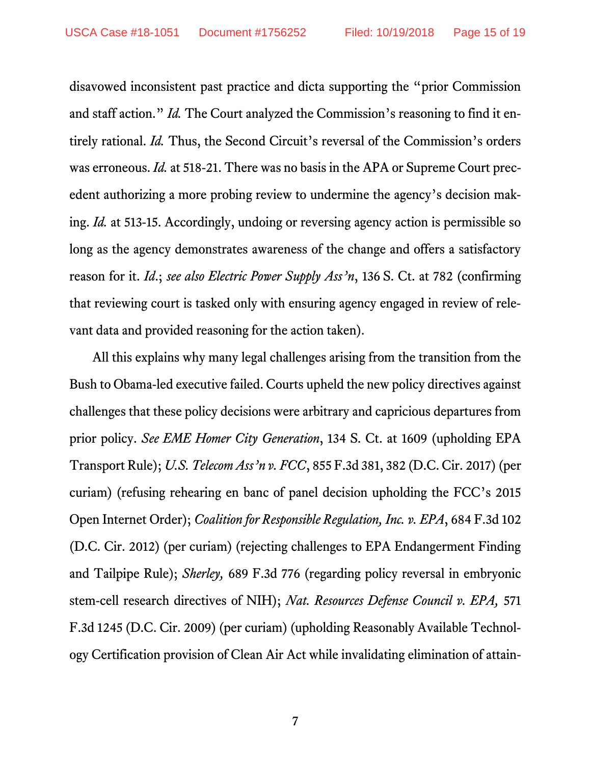disavowed inconsistent past practice and dicta supporting the "prior Commission and staff action." *Id.* The Court analyzed the Commission's reasoning to find it entirely rational. *Id.* Thus, the Second Circuit's reversal of the Commission's orders was erroneous. *Id.* at 518-21. There was no basis in the APA or Supreme Court precedent authorizing a more probing review to undermine the agency's decision making. *Id.* at 513-15. Accordingly, undoing or reversing agency action is permissible so long as the agency demonstrates awareness of the change and offers a satisfactory reason for it. *Id*.; *see also Electric Power Supply Ass'n*, 136 S. Ct. at 782 (confirming that reviewing court is tasked only with ensuring agency engaged in review of relevant data and provided reasoning for the action taken).

All this explains why many legal challenges arising from the transition from the Bush to Obama-led executive failed. Courts upheld the new policy directives against challenges that these policy decisions were arbitrary and capricious departures from prior policy. *See EME Homer City Generation*, 134 S. Ct. at 1609 (upholding EPA Transport Rule); *U.S. Telecom Ass'n v. FCC*, 855 F.3d 381, 382 (D.C. Cir. 2017) (per curiam) (refusing rehearing en banc of panel decision upholding the FCC's 2015 Open Internet Order); *Coalition for Responsible Regulation, Inc. v. EPA*, 684 F.3d 102 (D.C. Cir. 2012) (per curiam) (rejecting challenges to EPA Endangerment Finding and Tailpipe Rule); *Sherley,* 689 F.3d 776 (regarding policy reversal in embryonic stem-cell research directives of NIH); *Nat. Resources Defense Council v. EPA,* 571 F.3d 1245 (D.C. Cir. 2009) (per curiam) (upholding Reasonably Available Technology Certification provision of Clean Air Act while invalidating elimination of attain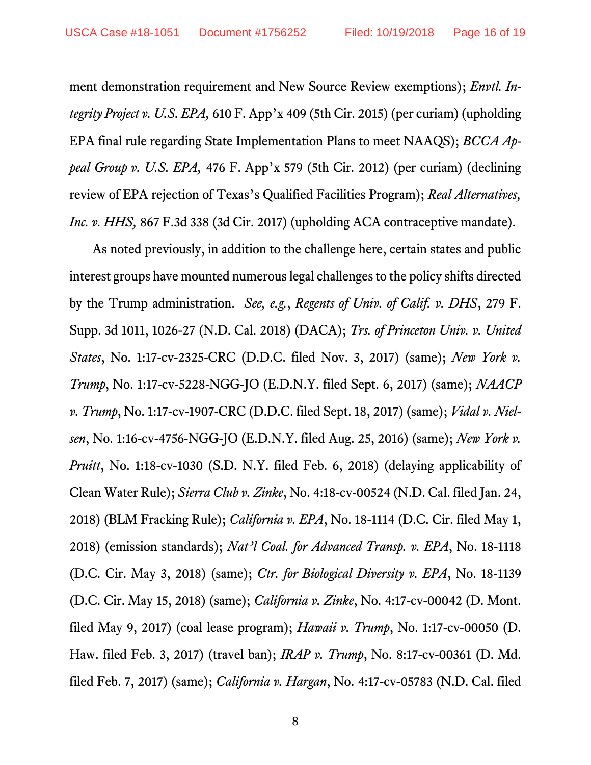ment demonstration requirement and New Source Review exemptions); *Envtl. Integrity Project v. U.S. EPA,* 610 F. App'x 409 (5th Cir. 2015) (per curiam) (upholding EPA final rule regarding State Implementation Plans to meet NAAQS); *BCCA Appeal Group v. U.S. EPA,* 476 F. App'x 579 (5th Cir. 2012) (per curiam) (declining review of EPA rejection of Texas's Qualified Facilities Program); *Real Alternatives, Inc. v. HHS*, 867 F.3d 338 (3d Cir. 2017) (upholding ACA contraceptive mandate).

As noted previously, in addition to the challenge here, certain states and public interest groups have mounted numerouslegal challenges to the policy shifts directed by the Trump administration. *See, e.g.*, *Regents of Univ. of Calif. v. DHS*, 279 F. Supp. 3d 1011, 1026-27 (N.D. Cal. 2018) (DACA); *Trs. of Princeton Univ. v. United States*, No. 1:17-cv-2325-CRC (D.D.C. filed Nov. 3, 2017) (same); *New York v. Trump*, No. 1:17-cv-5228-NGG-JO (E.D.N.Y. filed Sept. 6, 2017) (same); *NAACP v. Trump*, No. 1:17-cv-1907-CRC (D.D.C. filed Sept. 18, 2017) (same); *Vidal v. Nielsen*, No. 1:16-cv-4756-NGG-JO (E.D.N.Y. filed Aug. 25, 2016) (same); *New York v. Pruitt*, No. 1:18-cv-1030 (S.D. N.Y. filed Feb. 6, 2018) (delaying applicability of Clean Water Rule); *Sierra Club v. Zinke*, No. 4:18-cv-00524 (N.D. Cal. filed Jan. 24, 2018) (BLM Fracking Rule); *California v. EPA*, No. 18-1114 (D.C. Cir. filed May 1, 2018) (emission standards); *Nat'l Coal. for Advanced Transp. v. EPA*, No. 18-1118 (D.C. Cir. May 3, 2018) (same); *Ctr. for Biological Diversity v. EPA*, No. 18-1139 (D.C. Cir. May 15, 2018) (same); *California v. Zinke*, No. 4:17-cv-00042 (D. Mont. filed May 9, 2017) (coal lease program); *Hawaii v. Trump*, No. 1:17-cv-00050 (D. Haw. filed Feb. 3, 2017) (travel ban); *IRAP v. Trump*, No. 8:17-cv-00361 (D. Md. filed Feb. 7, 2017) (same); *California v. Hargan*, No. 4:17-cv-05783 (N.D. Cal. filed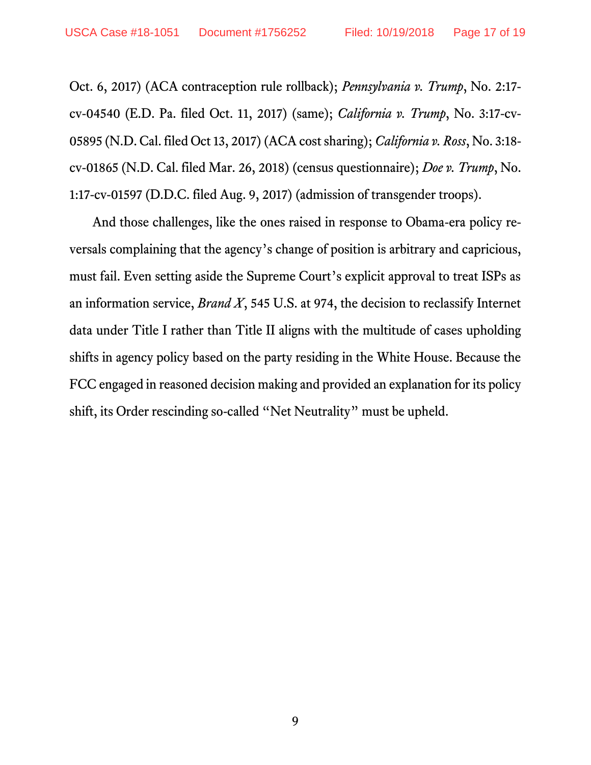Oct. 6, 2017) (ACA contraception rule rollback); *Pennsylvania v. Trump*, No. 2:17 cv-04540 (E.D. Pa. filed Oct. 11, 2017) (same); *California v. Trump*, No. 3:17-cv-05895 (N.D. Cal. filed Oct 13, 2017) (ACA cost sharing); *California v. Ross*, No. 3:18 cv-01865 (N.D. Cal. filed Mar. 26, 2018) (census questionnaire); *Doe v. Trump*, No. 1:17-cv-01597 (D.D.C. filed Aug. 9, 2017) (admission of transgender troops).

And those challenges, like the ones raised in response to Obama-era policy reversals complaining that the agency's change of position is arbitrary and capricious, must fail. Even setting aside the Supreme Court's explicit approval to treat ISPs as an information service, *Brand X*, 545 U.S. at 974, the decision to reclassify Internet data under Title I rather than Title II aligns with the multitude of cases upholding shifts in agency policy based on the party residing in the White House. Because the FCC engaged in reasoned decision making and provided an explanation for its policy shift, its Order rescinding so-called "Net Neutrality" must be upheld.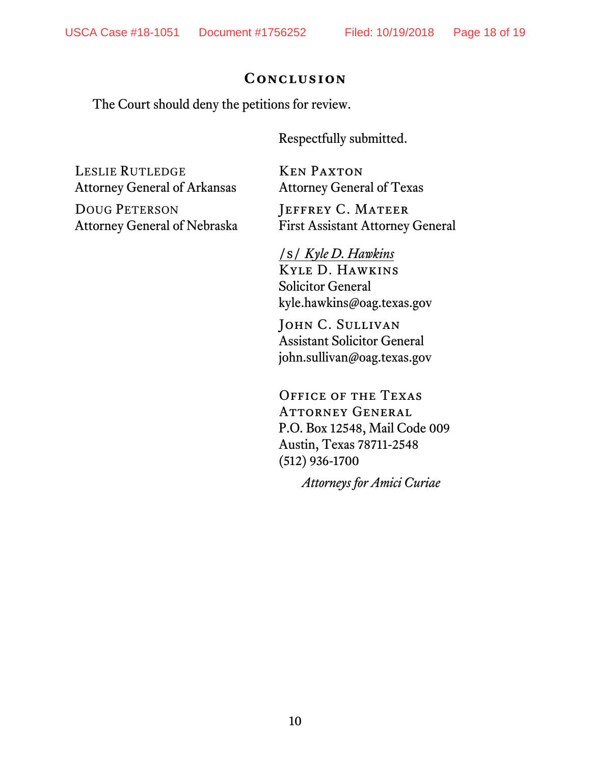#### **Conclusion**

The Court should deny the petitions for review.

Respectfully submitted.

LESLIE RUTLEDGE Attorney General of Arkansas

DOUG PETERSON Attorney General of Nebraska

Ken Paxton Attorney General of Texas

JEFFREY C. MATEER First Assistant Attorney General

/s/ *Kyle D. Hawkins*  Kyle D. Hawkins Solicitor General kyle.hawkins@oag.texas.gov

John C. Sullivan Assistant Solicitor General john.sullivan@oag.texas.gov

Office of the Texas Attorney General P.O. Box 12548, Mail Code 009 Austin, Texas 78711-2548 (512) 936-1700

*Attorneys for Amici Curiae*